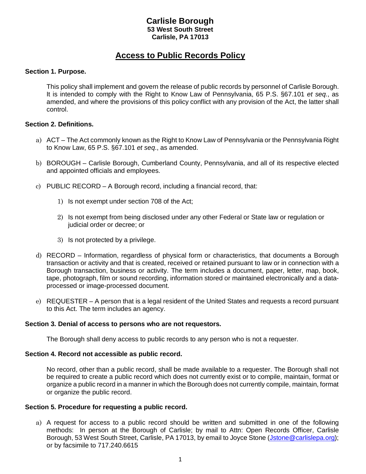### **Carlisle Borough 53 West South Street Carlisle, PA 17013**

## **Access to Public Records Policy**

#### **Section 1. Purpose.**

This policy shall implement and govern the release of public records by personnel of Carlisle Borough. It is intended to comply with the Right to Know Law of Pennsylvania, 65 P.S. §67.101 *et seq*., as amended, and where the provisions of this policy conflict with any provision of the Act, the latter shall control.

#### **Section 2. Definitions.**

- a) ACT The Act commonly known as the Right to Know Law of Pennsylvania or the Pennsylvania Right to Know Law, 65 P.S. §67.101 *et seq*., as amended.
- b) BOROUGH Carlisle Borough, Cumberland County, Pennsylvania, and all of its respective elected and appointed officials and employees.
- c) PUBLIC RECORD A Borough record, including a financial record, that:
	- 1) Is not exempt under section 708 of the Act;
	- 2) Is not exempt from being disclosed under any other Federal or State law or regulation or judicial order or decree; or
	- 3) Is not protected by a privilege.
- d) RECORD Information, regardless of physical form or characteristics, that documents a Borough transaction or activity and that is created, received or retained pursuant to law or in connection with a Borough transaction, business or activity. The term includes a document, paper, letter, map, book, tape, photograph, film or sound recording, information stored or maintained electronically and a dataprocessed or image-processed document.
- e) REQUESTER A person that is a legal resident of the United States and requests a record pursuant to this Act. The term includes an agency.

#### **Section 3. Denial of access to persons who are not requestors.**

The Borough shall deny access to public records to any person who is not a requester.

#### **Section 4. Record not accessible as public record.**

No record, other than a public record, shall be made available to a requester. The Borough shall not be required to create a public record which does not currently exist or to compile, maintain, format or organize a public record in a manner in which the Borough does not currently compile, maintain, format or organize the public record.

#### **Section 5. Procedure for requesting a public record.**

a) A request for access to a public record should be written and submitted in one of the following methods: In person at the Borough of Carlisle; by mail to Attn: Open Records Officer, Carlisle Borough, 53 West South Street, Carlisle, PA 17013, by email to Joyce Stone [\(Jstone@carlislepa.org\)](mailto:Jstone@carlislepa.org); or by facsimile to 717.240.6615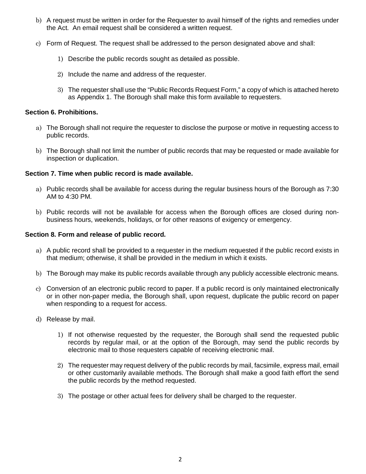- b) A request must be written in order for the Requester to avail himself of the rights and remedies under the Act. An email request shall be considered a written request.
- c) Form of Request. The request shall be addressed to the person designated above and shall:
	- 1) Describe the public records sought as detailed as possible.
	- 2) Include the name and address of the requester.
	- 3) The requester shall use the "Public Records Request Form," a copy of which is attached hereto as Appendix 1. The Borough shall make this form available to requesters.

#### **Section 6. Prohibitions.**

- a) The Borough shall not require the requester to disclose the purpose or motive in requesting access to public records.
- b) The Borough shall not limit the number of public records that may be requested or made available for inspection or duplication.

#### **Section 7. Time when public record is made available.**

- a) Public records shall be available for access during the regular business hours of the Borough as 7:30 AM to 4:30 PM.
- b) Public records will not be available for access when the Borough offices are closed during nonbusiness hours, weekends, holidays, or for other reasons of exigency or emergency.

#### **Section 8. Form and release of public record.**

- a) A public record shall be provided to a requester in the medium requested if the public record exists in that medium; otherwise, it shall be provided in the medium in which it exists.
- b) The Borough may make its public records available through any publicly accessible electronic means.
- c) Conversion of an electronic public record to paper. If a public record is only maintained electronically or in other non-paper media, the Borough shall, upon request, duplicate the public record on paper when responding to a request for access.
- d) Release by mail.
	- 1) If not otherwise requested by the requester, the Borough shall send the requested public records by regular mail, or at the option of the Borough, may send the public records by electronic mail to those requesters capable of receiving electronic mail.
	- 2) The requester may request delivery of the public records by mail, facsimile, express mail, email or other customarily available methods. The Borough shall make a good faith effort the send the public records by the method requested.
	- 3) The postage or other actual fees for delivery shall be charged to the requester.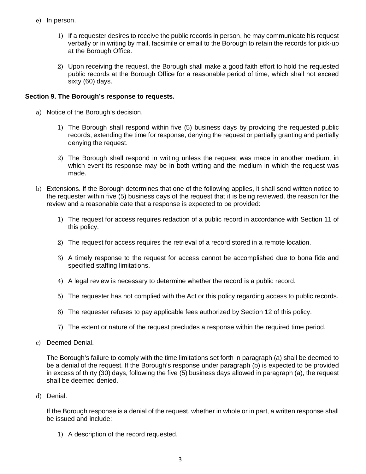- e) In person.
	- 1) If a requester desires to receive the public records in person, he may communicate his request verbally or in writing by mail, facsimile or email to the Borough to retain the records for pick-up at the Borough Office.
	- 2) Upon receiving the request, the Borough shall make a good faith effort to hold the requested public records at the Borough Office for a reasonable period of time, which shall not exceed sixty (60) days.

#### **Section 9. The Borough's response to requests.**

- a) Notice of the Borough's decision.
	- 1) The Borough shall respond within five (5) business days by providing the requested public records, extending the time for response, denying the request or partially granting and partially denying the request.
	- 2) The Borough shall respond in writing unless the request was made in another medium, in which event its response may be in both writing and the medium in which the request was made.
- b) Extensions. If the Borough determines that one of the following applies, it shall send written notice to the requester within five (5) business days of the request that it is being reviewed, the reason for the review and a reasonable date that a response is expected to be provided:
	- 1) The request for access requires redaction of a public record in accordance with Section 11 of this policy.
	- 2) The request for access requires the retrieval of a record stored in a remote location.
	- 3) A timely response to the request for access cannot be accomplished due to bona fide and specified staffing limitations.
	- 4) A legal review is necessary to determine whether the record is a public record.
	- 5) The requester has not complied with the Act or this policy regarding access to public records.
	- 6) The requester refuses to pay applicable fees authorized by Section 12 of this policy.
	- 7) The extent or nature of the request precludes a response within the required time period.
- c) Deemed Denial.

The Borough's failure to comply with the time limitations set forth in paragraph (a) shall be deemed to be a denial of the request. If the Borough's response under paragraph (b) is expected to be provided in excess of thirty (30) days, following the five (5) business days allowed in paragraph (a), the request shall be deemed denied.

d) Denial.

If the Borough response is a denial of the request, whether in whole or in part, a written response shall be issued and include:

1) A description of the record requested.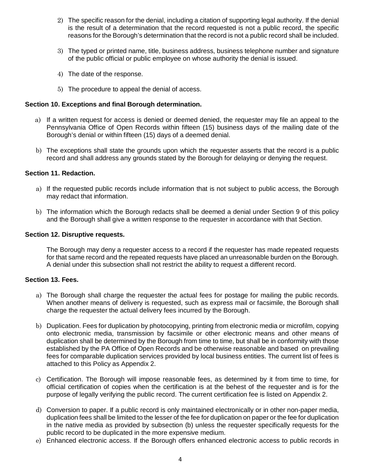- 2) The specific reason for the denial, including a citation of supporting legal authority. If the denial is the result of a determination that the record requested is not a public record, the specific reasons for the Borough's determination that the record is not a public record shall be included.
- 3) The typed or printed name, title, business address, business telephone number and signature of the public official or public employee on whose authority the denial is issued.
- 4) The date of the response.
- 5) The procedure to appeal the denial of access.

#### **Section 10. Exceptions and final Borough determination.**

- a) If a written request for access is denied or deemed denied, the requester may file an appeal to the Pennsylvania Office of Open Records within fifteen (15) business days of the mailing date of the Borough's denial or within fifteen (15) days of a deemed denial.
- b) The exceptions shall state the grounds upon which the requester asserts that the record is a public record and shall address any grounds stated by the Borough for delaying or denying the request.

#### **Section 11. Redaction.**

- a) If the requested public records include information that is not subject to public access, the Borough may redact that information.
- b) The information which the Borough redacts shall be deemed a denial under Section 9 of this policy and the Borough shall give a written response to the requester in accordance with that Section.

#### **Section 12. Disruptive requests.**

The Borough may deny a requester access to a record if the requester has made repeated requests for that same record and the repeated requests have placed an unreasonable burden on the Borough. A denial under this subsection shall not restrict the ability to request a different record.

#### **Section 13. Fees.**

- a) The Borough shall charge the requester the actual fees for postage for mailing the public records. When another means of delivery is requested, such as express mail or facsimile, the Borough shall charge the requester the actual delivery fees incurred by the Borough.
- b) Duplication. Fees for duplication by photocopying, printing from electronic media or microfilm, copying onto electronic media, transmission by facsimile or other electronic means and other means of duplication shall be determined by the Borough from time to time, but shall be in conformity with those established by the PA Office of Open Records and be otherwise reasonable and based on prevailing fees for comparable duplication services provided by local business entities. The current list of fees is attached to this Policy as Appendix 2.
- c) Certification. The Borough will impose reasonable fees, as determined by it from time to time, for official certification of copies when the certification is at the behest of the requester and is for the purpose of legally verifying the public record. The current certification fee is listed on Appendix 2.
- d) Conversion to paper. If a public record is only maintained electronically or in other non-paper media, duplication fees shall be limited to the lesser of the fee for duplication on paper or the fee for duplication in the native media as provided by subsection (b) unless the requester specifically requests for the public record to be duplicated in the more expensive medium.
- e) Enhanced electronic access. If the Borough offers enhanced electronic access to public records in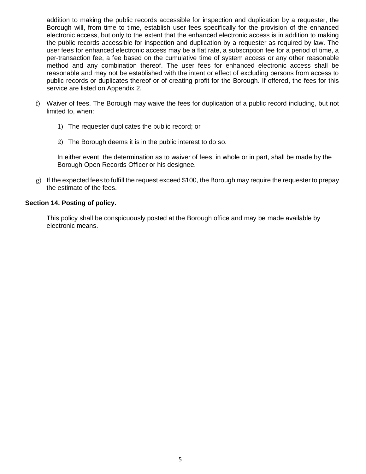addition to making the public records accessible for inspection and duplication by a requester, the Borough will, from time to time, establish user fees specifically for the provision of the enhanced electronic access, but only to the extent that the enhanced electronic access is in addition to making the public records accessible for inspection and duplication by a requester as required by law. The user fees for enhanced electronic access may be a flat rate, a subscription fee for a period of time, a per-transaction fee, a fee based on the cumulative time of system access or any other reasonable method and any combination thereof. The user fees for enhanced electronic access shall be reasonable and may not be established with the intent or effect of excluding persons from access to public records or duplicates thereof or of creating profit for the Borough. If offered, the fees for this service are listed on Appendix 2.

- f) Waiver of fees. The Borough may waive the fees for duplication of a public record including, but not limited to, when:
	- 1) The requester duplicates the public record; or
	- 2) The Borough deems it is in the public interest to do so.

In either event, the determination as to waiver of fees, in whole or in part, shall be made by the Borough Open Records Officer or his designee.

g) If the expected fees to fulfill the request exceed \$100, the Borough may require the requester to prepay the estimate of the fees.

#### **Section 14. Posting of policy.**

This policy shall be conspicuously posted at the Borough office and may be made available by electronic means.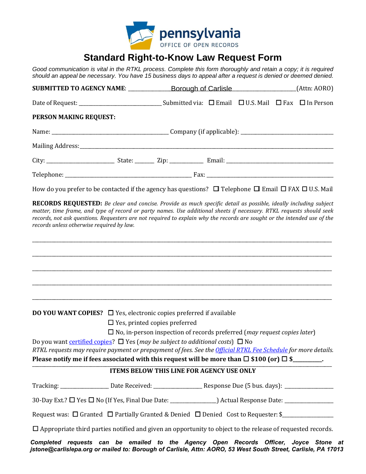

# **Standard Right-to-Know Law Request Form**

*Good communication is vital in the RTKL process. Complete this form thoroughly and retain a copy; it is required should an appeal be necessary. You have 15 business days to appeal after a request is denied or deemed denied.* 

| PERSON MAKING REQUEST: |  |  |  |  |  |  |
|------------------------|--|--|--|--|--|--|
|                        |  |  |  |  |  |  |
|                        |  |  |  |  |  |  |
|                        |  |  |  |  |  |  |
|                        |  |  |  |  |  |  |
|                        |  |  |  |  |  |  |

How do you prefer to be contacted if the agency has questions?  $\Box$  Telephone  $\Box$  Email  $\Box$  FAX  $\Box$  U.S. Mail

**RECORDS REQUESTED:** *Be clear and concise. Provide as much specific detail as possible, ideally including subject matter, time frame, and type of record or party names. Use additional sheets if necessary. RTKL requests should seek records, not ask questions. Requesters are not required to explain why the records are sought or the intended use of the records unless otherwise required by law.*

| <b>DO YOU WANT COPIES?</b> $\Box$ Yes, electronic copies preferred if available                                                                                                                       |
|-------------------------------------------------------------------------------------------------------------------------------------------------------------------------------------------------------|
| $\Box$ Yes, printed copies preferred                                                                                                                                                                  |
| $\square$ No, in-person inspection of records preferred ( <i>may request copies later</i> )                                                                                                           |
| Do you want certified copies? $\Box$ Yes (may be subject to additional costs) $\Box$ No                                                                                                               |
| RTKL requests may require payment or prepayment of fees. See the <i>Official RTKL Fee Schedule</i> for more details.                                                                                  |
| Please notify me if fees associated with this request will be more than $\Box$ \$100 (or) $\Box$ \$                                                                                                   |
| <b>ITEMS BELOW THIS LINE FOR AGENCY USE ONLY</b>                                                                                                                                                      |
| Tracking: __________________ Date Received: _________________________Response Due (5 bus. days): _____________                                                                                        |
| 30-Day Ext.? $\Box$ Yes $\Box$ No (If Yes, Final Due Date: _______________) Actual Response Date: ________________                                                                                    |
| Request was: $\Box$ Granted $\Box$ Partially Granted & Denied $\Box$ Denied Cost to Requester: \$                                                                                                     |
| $\Box$ Appropriate third parties notified and given an opportunity to object to the release of requested records.                                                                                     |
| Completed requests can be emailed to the Agency Open Records Officer, Joyce Stone at<br>jstone@carlislepa.org or mailed to: Borough of Carlisle, Attn: AORO, 53 West South Street, Carlisle, PA 17013 |